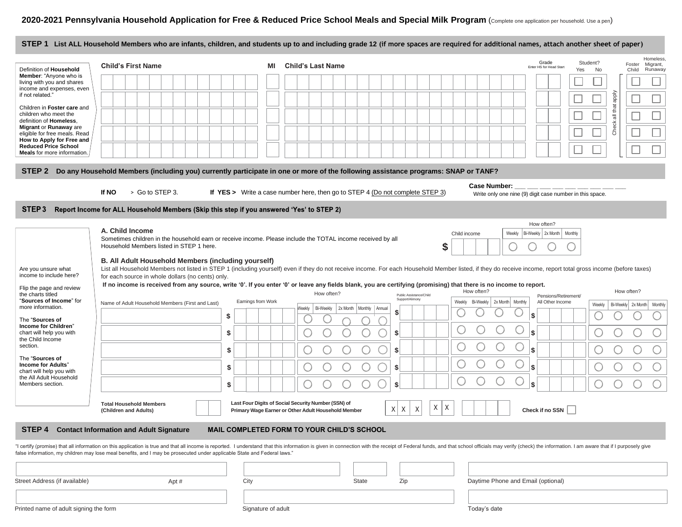|                                                                                           |                                                                                                                                                                                                                                                                                                                            |                    |    | STEP 1 List ALL Household Members who are infants, children, and students up to and including grade 12 (if more spaces are required for additional names, attach another sheet of paper)                                      |                                                                                  |                                                                              |  |  |
|-------------------------------------------------------------------------------------------|----------------------------------------------------------------------------------------------------------------------------------------------------------------------------------------------------------------------------------------------------------------------------------------------------------------------------|--------------------|----|-------------------------------------------------------------------------------------------------------------------------------------------------------------------------------------------------------------------------------|----------------------------------------------------------------------------------|------------------------------------------------------------------------------|--|--|
| Definition of Household                                                                   | <b>Child's First Name</b>                                                                                                                                                                                                                                                                                                  |                    | ΜI | <b>Child's Last Name</b>                                                                                                                                                                                                      | Grade<br>Enter HS for Head Start                                                 | Homeless,<br>Student?<br>Foster<br>Migrant,<br>Yes<br>No<br>Child<br>Runaway |  |  |
| <b>Member:</b> "Anyone who is<br>living with you and shares<br>income and expenses, even  |                                                                                                                                                                                                                                                                                                                            |                    |    |                                                                                                                                                                                                                               |                                                                                  |                                                                              |  |  |
| if not related."                                                                          |                                                                                                                                                                                                                                                                                                                            |                    |    |                                                                                                                                                                                                                               |                                                                                  |                                                                              |  |  |
| Children in Foster care and<br>children who meet the                                      |                                                                                                                                                                                                                                                                                                                            |                    |    |                                                                                                                                                                                                                               |                                                                                  | Check all that apply                                                         |  |  |
| definition of Homeless.<br><b>Migrant or Runaway are</b><br>eligible for free meals. Read |                                                                                                                                                                                                                                                                                                                            |                    |    |                                                                                                                                                                                                                               |                                                                                  |                                                                              |  |  |
| How to Apply for Free and<br><b>Reduced Price School</b>                                  |                                                                                                                                                                                                                                                                                                                            |                    |    |                                                                                                                                                                                                                               |                                                                                  |                                                                              |  |  |
| Meals for more information.                                                               |                                                                                                                                                                                                                                                                                                                            |                    |    |                                                                                                                                                                                                                               |                                                                                  |                                                                              |  |  |
| STEP <sub>2</sub>                                                                         |                                                                                                                                                                                                                                                                                                                            |                    |    | Do any Household Members (including you) currently participate in one or more of the following assistance programs: SNAP or TANF?                                                                                             |                                                                                  |                                                                              |  |  |
|                                                                                           | > Go to STEP 3.<br>If NO                                                                                                                                                                                                                                                                                                   |                    |    | If YES > Write a case number here, then go to STEP 4 (Do not complete STEP 3)                                                                                                                                                 | <b>Case Number:</b><br>Write only one nine (9) digit case number in this space.  |                                                                              |  |  |
| STEP <sub>3</sub>                                                                         | Report Income for ALL Household Members (Skip this step if you answered 'Yes' to STEP 2)                                                                                                                                                                                                                                   |                    |    |                                                                                                                                                                                                                               |                                                                                  |                                                                              |  |  |
|                                                                                           | A. Child Income                                                                                                                                                                                                                                                                                                            |                    |    |                                                                                                                                                                                                                               | How often?                                                                       |                                                                              |  |  |
|                                                                                           | Household Members listed in STEP 1 here.                                                                                                                                                                                                                                                                                   |                    |    | Sometimes children in the household earn or receive income. Please include the TOTAL income received by all<br>\$                                                                                                             | Bi-Weekly 2x Month<br>Child income<br>Weekly                                     | Monthly                                                                      |  |  |
|                                                                                           |                                                                                                                                                                                                                                                                                                                            |                    |    |                                                                                                                                                                                                                               |                                                                                  |                                                                              |  |  |
| Are you unsure what<br>income to include here?                                            | B. All Adult Household Members (including yourself)<br>List all Household Members not listed in STEP 1 (including yourself) even if they do not receive income. For each Household Member listed, if they do receive income, report total gross income (before taxes)<br>for each source in whole dollars (no cents) only. |                    |    |                                                                                                                                                                                                                               |                                                                                  |                                                                              |  |  |
| Flip the page and review                                                                  |                                                                                                                                                                                                                                                                                                                            |                    |    | If no income is received from any source, write '0'. If you enter '0' or leave any fields blank, you are certifying (promising) that there is no income to report.<br>How often?                                              | How often?                                                                       | How often?                                                                   |  |  |
| the charts titled<br>"Sources of Income" for<br>more information.                         | Name of Adult Household Members (First and Last)                                                                                                                                                                                                                                                                           | Earnings from Work |    | Public Assistance/Child<br>Support/Alimony<br>Bi-Weekly<br>2x Month   Monthly   Annual<br>Weekly                                                                                                                              | Pensions/Retirement/<br>Bi-Weekly 2x Month Monthly<br>All Other Income<br>Weekly | Weekly<br>Bi-Weekly 2x Month<br>Monthly                                      |  |  |
| The "Sources of                                                                           |                                                                                                                                                                                                                                                                                                                            | \$                 |    |                                                                                                                                                                                                                               | S                                                                                |                                                                              |  |  |
| Income for Children"<br>chart will help you with<br>the Child Income                      |                                                                                                                                                                                                                                                                                                                            | \$                 |    |                                                                                                                                                                                                                               | l\$                                                                              |                                                                              |  |  |
| section.                                                                                  |                                                                                                                                                                                                                                                                                                                            | \$                 |    | S                                                                                                                                                                                                                             | <b>S</b>                                                                         |                                                                              |  |  |
| The "Sources of<br><b>Income for Adults"</b><br>chart will help you with                  |                                                                                                                                                                                                                                                                                                                            | \$                 |    | \$                                                                                                                                                                                                                            | l\$                                                                              |                                                                              |  |  |
| the All Adult Household<br>Members section.                                               |                                                                                                                                                                                                                                                                                                                            | \$                 |    |                                                                                                                                                                                                                               | l\$                                                                              |                                                                              |  |  |
|                                                                                           | <b>Total Household Members</b>                                                                                                                                                                                                                                                                                             |                    |    | Last Four Digits of Social Security Number (SSN) of                                                                                                                                                                           |                                                                                  |                                                                              |  |  |
|                                                                                           | (Children and Adults)                                                                                                                                                                                                                                                                                                      |                    |    | Χ<br>XX<br>Χ<br>Primary Wage Earner or Other Adult Household Member                                                                                                                                                           | Χ<br>Check if no SSN                                                             |                                                                              |  |  |
|                                                                                           | <b>STEP 4 Contact Information and Adult Signature</b>                                                                                                                                                                                                                                                                      |                    |    | <b>MAIL COMPLETED FORM TO YOUR CHILD'S SCHOOL</b>                                                                                                                                                                             |                                                                                  |                                                                              |  |  |
|                                                                                           | false information, my children may lose meal benefits, and I may be prosecuted under applicable State and Federal laws."                                                                                                                                                                                                   |                    |    | "I certify (promise) that all information on this application is true and that all income is reported. I understand that this information is given in connection with the receipt of Federal funds, and that school officials |                                                                                  |                                                                              |  |  |
|                                                                                           |                                                                                                                                                                                                                                                                                                                            |                    |    |                                                                                                                                                                                                                               |                                                                                  |                                                                              |  |  |
| Street Address (if available)                                                             | Apt#                                                                                                                                                                                                                                                                                                                       | City               |    | Zip<br><b>State</b>                                                                                                                                                                                                           | Daytime Phone and Email (optional)                                               |                                                                              |  |  |
|                                                                                           |                                                                                                                                                                                                                                                                                                                            |                    |    |                                                                                                                                                                                                                               |                                                                                  |                                                                              |  |  |